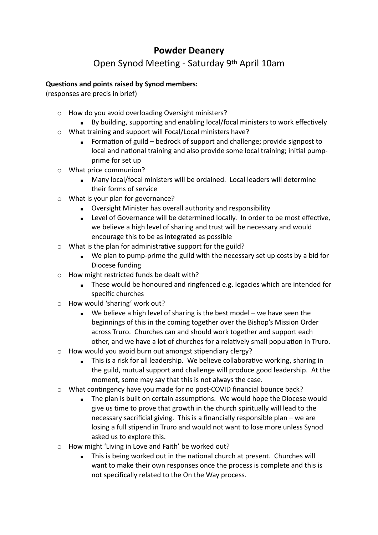## **Powder Deanery**

## Open Synod Meeting - Saturday 9th April 10am

## **Questions and points raised by Synod members:**

(responses are precis in brief)

- o How do you avoid overloading Oversight ministers?
	- By building, supporting and enabling local/focal ministers to work effectively
- o What training and support will Focal/Local ministers have?
	- Formation of guild bedrock of support and challenge; provide signpost to local and national training and also provide some local training; initial pumpprime for set up
- o What price communion?
	- **Many local/focal ministers will be ordained. Local leaders will determine** their forms of service
- o What is your plan for governance?
	- **EXECT:** Oversight Minister has overall authority and responsibility
	- Level of Governance will be determined locally. In order to be most effective, we believe a high level of sharing and trust will be necessary and would encourage this to be as integrated as possible
- o What is the plan for administrative support for the guild?
	- We plan to pump-prime the guild with the necessary set up costs by a bid for Diocese funding
- o How might restricted funds be dealt with?
	- These would be honoured and ringfenced e.g. legacies which are intended for specific churches
- o How would 'sharing' work out?
	- $\blacksquare$  We believe a high level of sharing is the best model we have seen the beginnings of this in the coming together over the Bishop's Mission Order across Truro. Churches can and should work together and support each other, and we have a lot of churches for a relatively small population in Truro.
- $\circ$  How would you avoid burn out amongst stipendiary clergy?
	- **EXEDER** This is a risk for all leadership. We believe collaborative working, sharing in the guild, mutual support and challenge will produce good leadership. At the moment, some may say that this is not always the case.
- o What contingency have you made for no post-COVID financial bounce back?
	- **The plan is built on certain assumptions. We would hope the Diocese would** give us time to prove that growth in the church spiritually will lead to the necessary sacrificial giving. This is a financially responsible plan – we are losing a full stipend in Truro and would not want to lose more unless Synod asked us to explore this.
- o How might 'Living in Love and Faith' be worked out?
	- **This is being worked out in the national church at present. Churches will** want to make their own responses once the process is complete and this is not specifically related to the On the Way process.